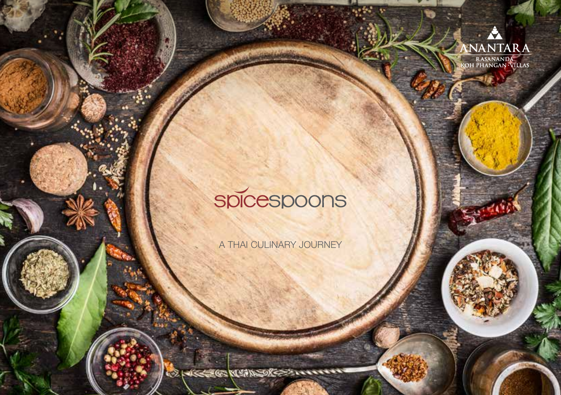

# spicespoons

A THAI CULINARY JOURNEY

**CELES MANSERS**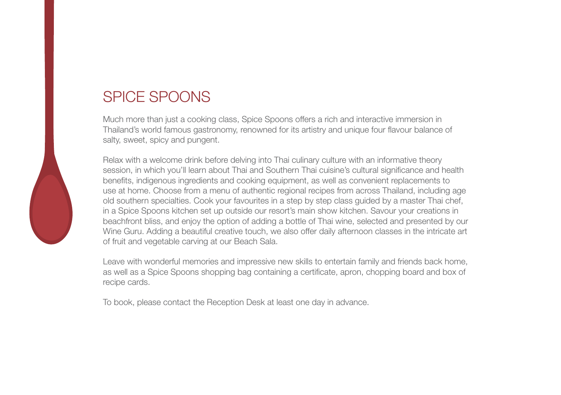### SPICE SPOONS

Much more than just a cooking class, Spice Spoons offers a rich and interactive immersion in Thailand's world famous gastronomy, renowned for its artistry and unique four flavour balance of salty, sweet, spicy and pungent.

Relax with a welcome drink before delving into Thai culinary culture with an informative theory session, in which you'll learn about Thai and Southern Thai cuisine's cultural significance and health benefits, indigenous ingredients and cooking equipment, as well as convenient replacements to use at home. Choose from a menu of authentic regional recipes from across Thailand, including age old southern specialties. Cook your favourites in a step by step class guided by a master Thai chef, in a Spice Spoons kitchen set up outside our resort's main show kitchen. Savour your creations in beachfront bliss, and enjoy the option of adding a bottle of Thai wine, selected and presented by our Wine Guru. Adding a beautiful creative touch, we also offer daily afternoon classes in the intricate art of fruit and vegetable carving at our Beach Sala.

Leave with wonderful memories and impressive new skills to entertain family and friends back home, as well as a Spice Spoons shopping bag containing a certificate, apron, chopping board and box of recipe cards.

To book, please contact the Reception Desk at least one day in advance.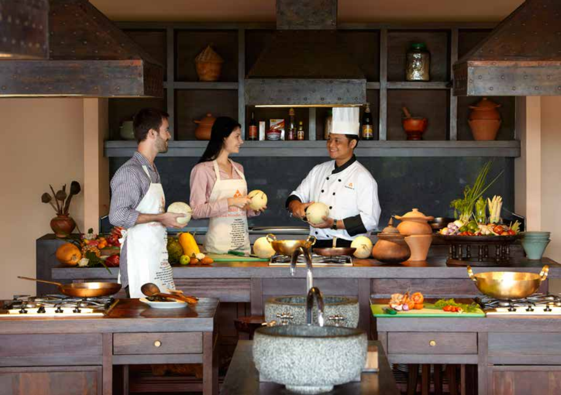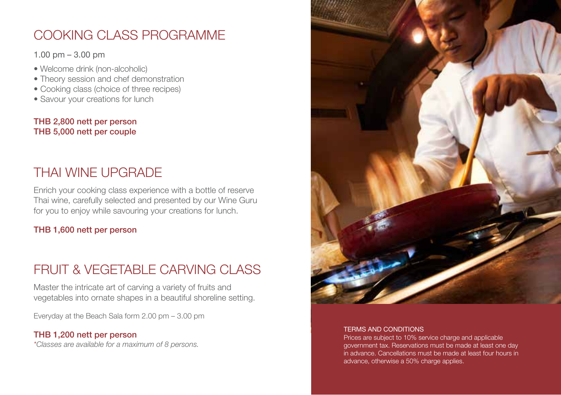### COOKING CLASS PROGRAMME

1.00 pm – 3.00 pm

- Welcome drink (non-alcoholic)
- Theory session and chef demonstration
- Cooking class (choice of three recipes)
- Savour your creations for lunch

#### THB 2,800 nett per person THB 5,000 nett per couple

### THAI WINE UPGRADE

Enrich your cooking class experience with a bottle of reserve Thai wine, carefully selected and presented by our Wine Guru for you to enjoy while savouring your creations for lunch.

THB 1,600 nett per person

## FRUIT & VEGETABLE CARVING CLASS

Master the intricate art of carving a variety of fruits and vegetables into ornate shapes in a beautiful shoreline setting.

Everyday at the Beach Sala form 2.00 pm – 3.00 pm

THB 1,200 nett per person *\*Classes are available for a maximum of 8 persons.*



#### Terms and conditions

Prices are subject to 10% service charge and applicable government tax. Reservations must be made at least one day in advance. Cancellations must be made at least four hours in advance, otherwise a 50% charge applies.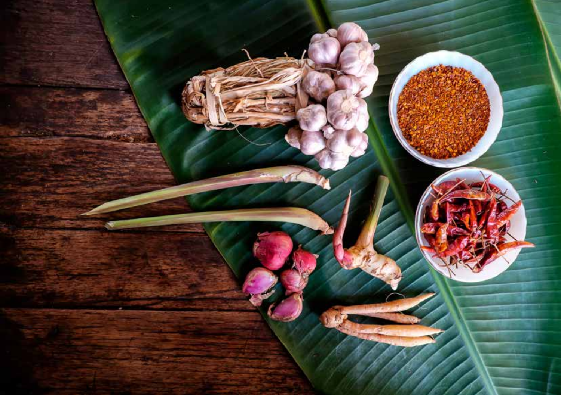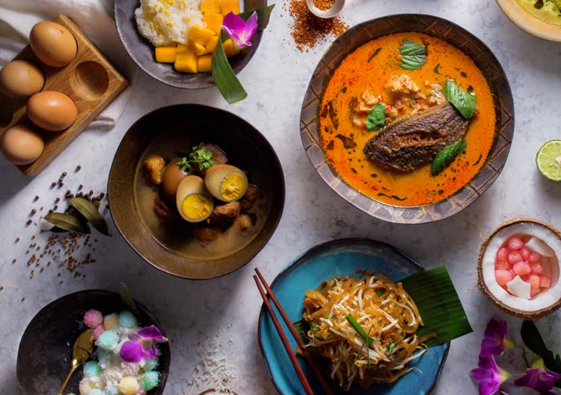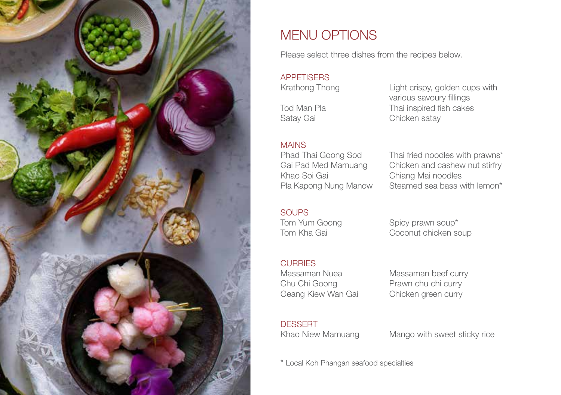

### MENU OPTIONS

Please select three dishes from the recipes below.

#### **APPFTISFRS**

Krathong Thong

Tod Man Pla Satay Gai

Light crispy, golden cups with various savoury fillings Thai inspired fish cakes Chicken satay

#### **MAINS**

Phad Thai Goong Sod Gai Pad Med Mamuang Khao Soi Gai Pla Kapong Nung Manow Thai fried noodles with prawns\* Chicken and cashew nut stirfry Chiang Mai noodles Steamed sea bass with lemon\*

#### **SOUPS**

Tom Yum Goong Tom Kha Gai

#### CURRIES

Massaman Nuea Chu Chi Goong Geang Kiew Wan Gai Spicy prawn soup\* Coconut chicken soup

Massaman beef curry Prawn chu chi curry Chicken green curry

#### **DESSERT**

Khao Niew Mamuang

Mango with sweet sticky rice

\* Local Koh Phangan seafood specialties